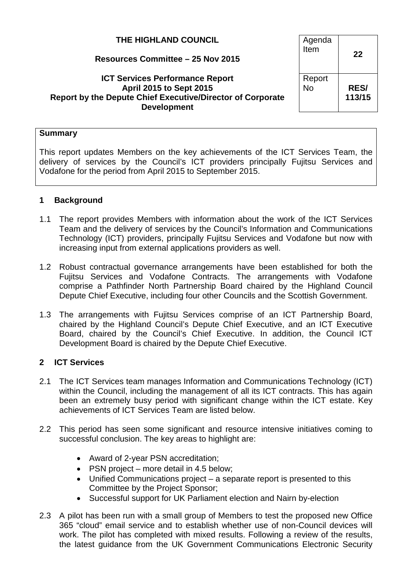| THE HIGHLAND COUNCIL<br>Resources Committee - 25 Nov 2015                                                                                                    | Agenda<br>Item      | 22                    |
|--------------------------------------------------------------------------------------------------------------------------------------------------------------|---------------------|-----------------------|
| <b>ICT Services Performance Report</b><br><b>April 2015 to Sept 2015</b><br>Report by the Depute Chief Executive/Director of Corporate<br><b>Development</b> | Report<br><b>No</b> | <b>RES/</b><br>113/15 |

#### **Summary**

This report updates Members on the key achievements of the ICT Services Team, the delivery of services by the Council's ICT providers principally Fujitsu Services and Vodafone for the period from April 2015 to September 2015.

## **1 Background**

- 1.1 The report provides Members with information about the work of the ICT Services Team and the delivery of services by the Council's Information and Communications Technology (ICT) providers, principally Fujitsu Services and Vodafone but now with increasing input from external applications providers as well.
- 1.2 Robust contractual governance arrangements have been established for both the Fujitsu Services and Vodafone Contracts. The arrangements with Vodafone comprise a Pathfinder North Partnership Board chaired by the Highland Council Depute Chief Executive, including four other Councils and the Scottish Government.
- 1.3 The arrangements with Fujitsu Services comprise of an ICT Partnership Board, chaired by the Highland Council's Depute Chief Executive, and an ICT Executive Board, chaired by the Council's Chief Executive. In addition, the Council ICT Development Board is chaired by the Depute Chief Executive.

## **2 ICT Services**

- 2.1 The ICT Services team manages Information and Communications Technology (ICT) within the Council, including the management of all its ICT contracts. This has again been an extremely busy period with significant change within the ICT estate. Key achievements of ICT Services Team are listed below.
- 2.2 This period has seen some significant and resource intensive initiatives coming to successful conclusion. The key areas to highlight are:
	- Award of 2-year PSN accreditation;
	- PSN project more detail in 4.5 below;
	- Unified Communications project a separate report is presented to this Committee by the Project Sponsor;
	- Successful support for UK Parliament election and Nairn by-election
- 2.3 A pilot has been run with a small group of Members to test the proposed new Office 365 "cloud" email service and to establish whether use of non-Council devices will work. The pilot has completed with mixed results. Following a review of the results, the latest guidance from the UK Government Communications Electronic Security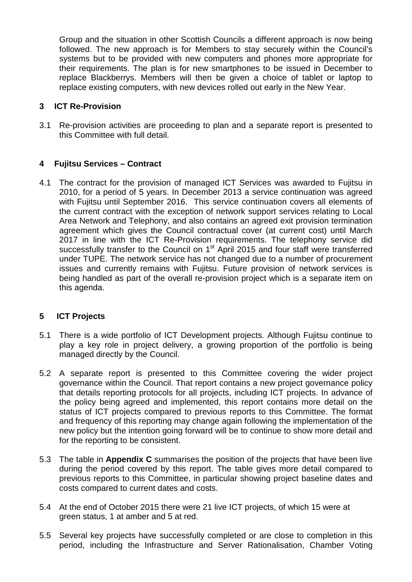Group and the situation in other Scottish Councils a different approach is now being followed. The new approach is for Members to stay securely within the Council's systems but to be provided with new computers and phones more appropriate for their requirements. The plan is for new smartphones to be issued in December to replace Blackberrys. Members will then be given a choice of tablet or laptop to replace existing computers, with new devices rolled out early in the New Year.

## **3 ICT Re-Provision**

3.1 Re-provision activities are proceeding to plan and a separate report is presented to this Committee with full detail.

## **4 Fujitsu Services – Contract**

4.1 The contract for the provision of managed ICT Services was awarded to Fujitsu in 2010, for a period of 5 years. In December 2013 a service continuation was agreed with Fujitsu until September 2016. This service continuation covers all elements of the current contract with the exception of network support services relating to Local Area Network and Telephony, and also contains an agreed exit provision termination agreement which gives the Council contractual cover (at current cost) until March 2017 in line with the ICT Re-Provision requirements. The telephony service did successfully transfer to the Council on 1<sup>st</sup> April 2015 and four staff were transferred under TUPE. The network service has not changed due to a number of procurement issues and currently remains with Fujitsu. Future provision of network services is being handled as part of the overall re-provision project which is a separate item on this agenda.

#### **5 ICT Projects**

- 5.1 There is a wide portfolio of ICT Development projects. Although Fujitsu continue to play a key role in project delivery, a growing proportion of the portfolio is being managed directly by the Council.
- 5.2 A separate report is presented to this Committee covering the wider project governance within the Council. That report contains a new project governance policy that details reporting protocols for all projects, including ICT projects. In advance of the policy being agreed and implemented, this report contains more detail on the status of ICT projects compared to previous reports to this Committee. The format and frequency of this reporting may change again following the implementation of the new policy but the intention going forward will be to continue to show more detail and for the reporting to be consistent.
- 5.3 The table in **Appendix C** summarises the position of the projects that have been live during the period covered by this report. The table gives more detail compared to previous reports to this Committee, in particular showing project baseline dates and costs compared to current dates and costs.
- 5.4 At the end of October 2015 there were 21 live ICT projects, of which 15 were at green status, 1 at amber and 5 at red.
- 5.5 Several key projects have successfully completed or are close to completion in this period, including the Infrastructure and Server Rationalisation, Chamber Voting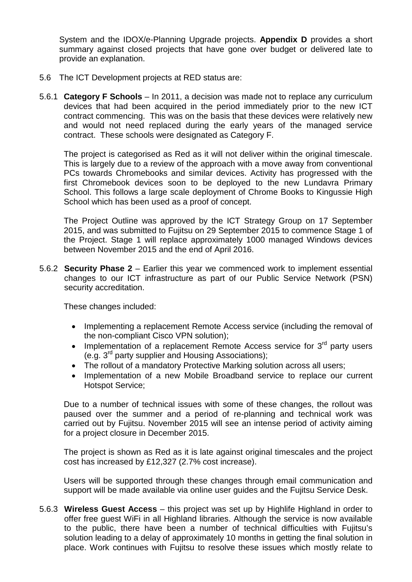System and the IDOX/e-Planning Upgrade projects. **Appendix D** provides a short summary against closed projects that have gone over budget or delivered late to provide an explanation.

- 5.6 The ICT Development projects at RED status are:
- 5.6.1 **Category F Schools** In 2011, a decision was made not to replace any curriculum devices that had been acquired in the period immediately prior to the new ICT contract commencing. This was on the basis that these devices were relatively new and would not need replaced during the early years of the managed service contract. These schools were designated as Category F.

The project is categorised as Red as it will not deliver within the original timescale. This is largely due to a review of the approach with a move away from conventional PCs towards Chromebooks and similar devices. Activity has progressed with the first Chromebook devices soon to be deployed to the new Lundavra Primary School. This follows a large scale deployment of Chrome Books to Kingussie High School which has been used as a proof of concept.

The Project Outline was approved by the ICT Strategy Group on 17 September 2015, and was submitted to Fujitsu on 29 September 2015 to commence Stage 1 of the Project. Stage 1 will replace approximately 1000 managed Windows devices between November 2015 and the end of April 2016.

5.6.2 **Security Phase 2** – Earlier this year we commenced work to implement essential changes to our ICT infrastructure as part of our Public Service Network (PSN) security accreditation.

These changes included:

- Implementing a replacement Remote Access service (including the removal of the non-compliant Cisco VPN solution);
- Implementation of a replacement Remote Access service for  $3<sup>rd</sup>$  party users (e.g.  $3^{rd}$  party supplier and Housing Associations);
- The rollout of a mandatory Protective Marking solution across all users;
- Implementation of a new Mobile Broadband service to replace our current Hotspot Service;

Due to a number of technical issues with some of these changes, the rollout was paused over the summer and a period of re-planning and technical work was carried out by Fujitsu. November 2015 will see an intense period of activity aiming for a project closure in December 2015.

The project is shown as Red as it is late against original timescales and the project cost has increased by £12,327 (2.7% cost increase).

Users will be supported through these changes through email communication and support will be made available via online user guides and the Fujitsu Service Desk.

5.6.3 **Wireless Guest Access** – this project was set up by Highlife Highland in order to offer free guest WiFi in all Highland libraries. Although the service is now available to the public, there have been a number of technical difficulties with Fujitsu's solution leading to a delay of approximately 10 months in getting the final solution in place. Work continues with Fujitsu to resolve these issues which mostly relate to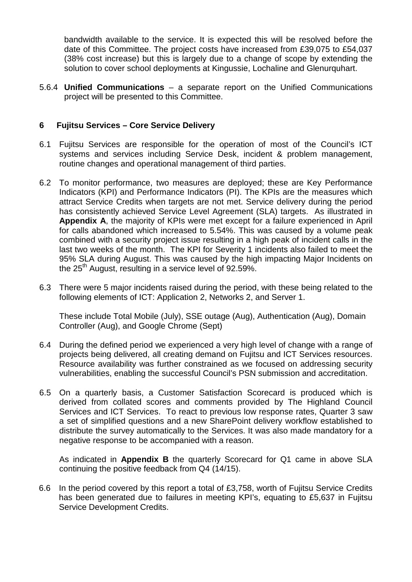bandwidth available to the service. It is expected this will be resolved before the date of this Committee. The project costs have increased from £39,075 to £54,037 (38% cost increase) but this is largely due to a change of scope by extending the solution to cover school deployments at Kingussie, Lochaline and Glenurquhart.

5.6.4 **Unified Communications** – a separate report on the Unified Communications project will be presented to this Committee.

### **6 Fujitsu Services – Core Service Delivery**

- 6.1 Fujitsu Services are responsible for the operation of most of the Council's ICT systems and services including Service Desk, incident & problem management, routine changes and operational management of third parties.
- 6.2 To monitor performance, two measures are deployed; these are Key Performance Indicators (KPI) and Performance Indicators (PI). The KPIs are the measures which attract Service Credits when targets are not met. Service delivery during the period has consistently achieved Service Level Agreement (SLA) targets. As illustrated in **Appendix A**, the majority of KPIs were met except for a failure experienced in April for calls abandoned which increased to 5.54%. This was caused by a volume peak combined with a security project issue resulting in a high peak of incident calls in the last two weeks of the month. The KPI for Severity 1 incidents also failed to meet the 95% SLA during August. This was caused by the high impacting Major Incidents on the  $25<sup>th</sup>$  August, resulting in a service level of 92.59%.
- 6.3 There were 5 major incidents raised during the period, with these being related to the following elements of ICT: Application 2, Networks 2, and Server 1.

These include Total Mobile (July), SSE outage (Aug), Authentication (Aug), Domain Controller (Aug), and Google Chrome (Sept)

- 6.4 During the defined period we experienced a very high level of change with a range of projects being delivered, all creating demand on Fujitsu and ICT Services resources. Resource availability was further constrained as we focused on addressing security vulnerabilities, enabling the successful Council's PSN submission and accreditation.
- 6.5 On a quarterly basis, a Customer Satisfaction Scorecard is produced which is derived from collated scores and comments provided by The Highland Council Services and ICT Services. To react to previous low response rates, Quarter 3 saw a set of simplified questions and a new SharePoint delivery workflow established to distribute the survey automatically to the Services. It was also made mandatory for a negative response to be accompanied with a reason.

As indicated in **Appendix B** the quarterly Scorecard for Q1 came in above SLA continuing the positive feedback from Q4 (14/15).

6.6 In the period covered by this report a total of £3,758, worth of Fujitsu Service Credits has been generated due to failures in meeting KPI's, equating to £5,637 in Fujitsu Service Development Credits.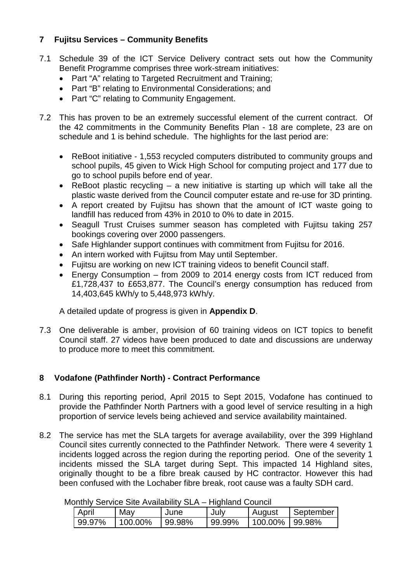## **7 Fujitsu Services – Community Benefits**

- 7.1 Schedule 39 of the ICT Service Delivery contract sets out how the Community Benefit Programme comprises three work-stream initiatives:
	- Part "A" relating to Targeted Recruitment and Training;
	- Part "B" relating to Environmental Considerations; and
	- Part "C" relating to Community Engagement.
- 7.2 This has proven to be an extremely successful element of the current contract. Of the 42 commitments in the Community Benefits Plan - 18 are complete, 23 are on schedule and 1 is behind schedule. The highlights for the last period are:
	- ReBoot initiative 1,553 recycled computers distributed to community groups and school pupils, 45 given to Wick High School for computing project and 177 due to go to school pupils before end of year.
	- ReBoot plastic recycling  $-$  a new initiative is starting up which will take all the plastic waste derived from the Council computer estate and re-use for 3D printing.
	- A report created by Fujitsu has shown that the amount of ICT waste going to landfill has reduced from 43% in 2010 to 0% to date in 2015.
	- Seagull Trust Cruises summer season has completed with Fujitsu taking 257 bookings covering over 2000 passengers.
	- Safe Highlander support continues with commitment from Fujitsu for 2016.
	- An intern worked with Fujitsu from May until September.
	- Fujitsu are working on new ICT training videos to benefit Council staff.
	- Energy Consumption from 2009 to 2014 energy costs from ICT reduced from £1,728,437 to £653,877. The Council's energy consumption has reduced from 14,403,645 kWh/y to 5,448,973 kWh/y.

A detailed update of progress is given in **Appendix D**.

7.3 One deliverable is amber, provision of 60 training videos on ICT topics to benefit Council staff. 27 videos have been produced to date and discussions are underway to produce more to meet this commitment.

# **8 Vodafone (Pathfinder North) - Contract Performance**

- 8.1 During this reporting period, April 2015 to Sept 2015, Vodafone has continued to provide the Pathfinder North Partners with a good level of service resulting in a high proportion of service levels being achieved and service availability maintained.
- 8.2 The service has met the SLA targets for average availability, over the 399 Highland Council sites currently connected to the Pathfinder Network. There were 4 severity 1 incidents logged across the region during the reporting period. One of the severity 1 incidents missed the SLA target during Sept. This impacted 14 Highland sites, originally thought to be a fibre break caused by HC contractor. However this had been confused with the Lochaber fibre break, root cause was a faulty SDH card.

|              | onany och noc one Avanability och i inginana ocanoli |        |          |                     |           |
|--------------|------------------------------------------------------|--------|----------|---------------------|-----------|
| <b>April</b> | May                                                  | June   | July     | <b>August</b>       | September |
| 99.97%       | $1100.00\%$                                          | 99.98% | l 99.99% | $1100.00\%$ 199.98% |           |

Monthly Service Site Availability SLA – Highland Council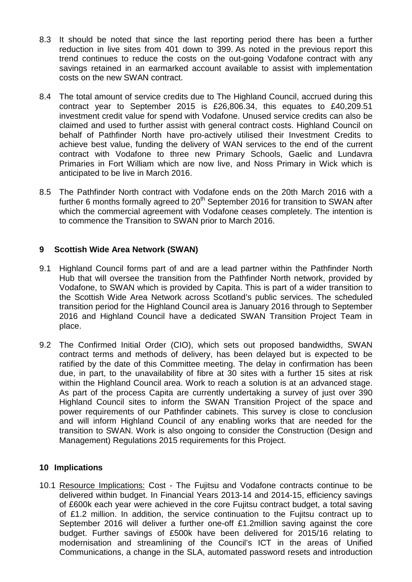- 8.3 It should be noted that since the last reporting period there has been a further reduction in live sites from 401 down to 399. As noted in the previous report this trend continues to reduce the costs on the out-going Vodafone contract with any savings retained in an earmarked account available to assist with implementation costs on the new SWAN contract.
- 8.4 The total amount of service credits due to The Highland Council, accrued during this contract year to September 2015 is £26,806.34, this equates to £40,209.51 investment credit value for spend with Vodafone. Unused service credits can also be claimed and used to further assist with general contract costs. Highland Council on behalf of Pathfinder North have pro-actively utilised their Investment Credits to achieve best value, funding the delivery of WAN services to the end of the current contract with Vodafone to three new Primary Schools, Gaelic and Lundavra Primaries in Fort William which are now live, and Noss Primary in Wick which is anticipated to be live in March 2016.
- 8.5 The Pathfinder North contract with Vodafone ends on the 20th March 2016 with a further 6 months formally agreed to  $20<sup>th</sup>$  September 2016 for transition to SWAN after which the commercial agreement with Vodafone ceases completely. The intention is to commence the Transition to SWAN prior to March 2016.

## **9 Scottish Wide Area Network (SWAN)**

- 9.1 Highland Council forms part of and are a lead partner within the Pathfinder North Hub that will oversee the transition from the Pathfinder North network, provided by Vodafone, to SWAN which is provided by Capita. This is part of a wider transition to the Scottish Wide Area Network across Scotland's public services. The scheduled transition period for the Highland Council area is January 2016 through to September 2016 and Highland Council have a dedicated SWAN Transition Project Team in place.
- 9.2 The Confirmed Initial Order (CIO), which sets out proposed bandwidths, SWAN contract terms and methods of delivery, has been delayed but is expected to be ratified by the date of this Committee meeting. The delay in confirmation has been due, in part, to the unavailability of fibre at 30 sites with a further 15 sites at risk within the Highland Council area. Work to reach a solution is at an advanced stage. As part of the process Capita are currently undertaking a survey of just over 390 Highland Council sites to inform the SWAN Transition Project of the space and power requirements of our Pathfinder cabinets. This survey is close to conclusion and will inform Highland Council of any enabling works that are needed for the transition to SWAN. Work is also ongoing to consider the Construction (Design and Management) Regulations 2015 requirements for this Project.

#### **10 Implications**

10.1 Resource Implications: Cost - The Fujitsu and Vodafone contracts continue to be delivered within budget. In Financial Years 2013-14 and 2014-15, efficiency savings of £600k each year were achieved in the core Fujitsu contract budget, a total saving of £1.2 million. In addition, the service continuation to the Fujitsu contract up to September 2016 will deliver a further one-off £1.2million saving against the core budget. Further savings of £500k have been delivered for 2015/16 relating to modernisation and streamlining of the Council's ICT in the areas of Unified Communications, a change in the SLA, automated password resets and introduction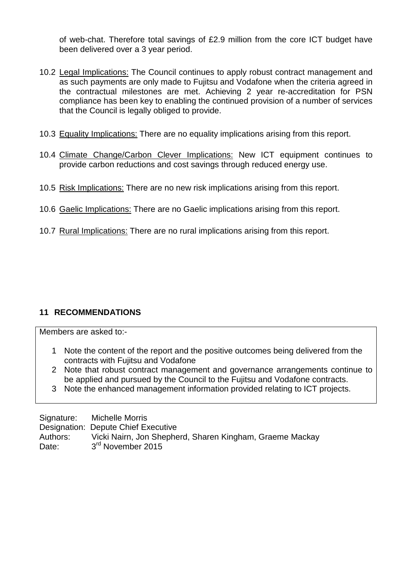of web-chat. Therefore total savings of £2.9 million from the core ICT budget have been delivered over a 3 year period.

- 10.2 Legal Implications: The Council continues to apply robust contract management and as such payments are only made to Fujitsu and Vodafone when the criteria agreed in the contractual milestones are met. Achieving 2 year re-accreditation for PSN compliance has been key to enabling the continued provision of a number of services that the Council is legally obliged to provide.
- 10.3 Equality Implications: There are no equality implications arising from this report.
- 10.4 Climate Change/Carbon Clever Implications: New ICT equipment continues to provide carbon reductions and cost savings through reduced energy use.
- 10.5 Risk Implications: There are no new risk implications arising from this report.
- 10.6 Gaelic Implications: There are no Gaelic implications arising from this report.
- 10.7 Rural Implications: There are no rural implications arising from this report.

# **11 RECOMMENDATIONS**

Members are asked to:-

- 1 Note the content of the report and the positive outcomes being delivered from the contracts with Fujitsu and Vodafone
- 2 Note that robust contract management and governance arrangements continue to be applied and pursued by the Council to the Fujitsu and Vodafone contracts.
- 3 Note the enhanced management information provided relating to ICT projects.

Signature: Michelle Morris Designation: Depute Chief Executive Authors: Vicki Nairn, Jon Shepherd, Sharen Kingham, Graeme Mackay Date: 3<sup>rd</sup> November 2015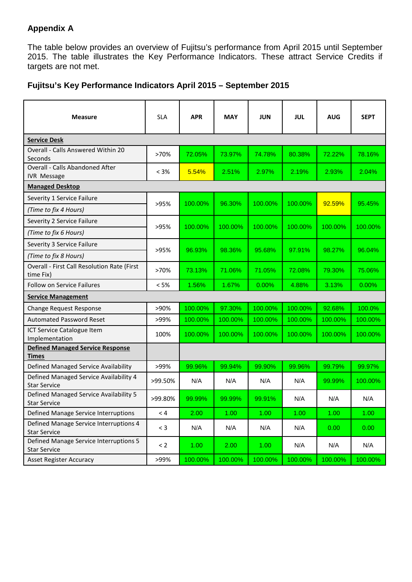# **Appendix A**

The table below provides an overview of Fujitsu's performance from April 2015 until September 2015. The table illustrates the Key Performance Indicators. These attract Service Credits if targets are not met.

## **Fujitsu's Key Performance Indicators April 2015 – September 2015**

| <b>Measure</b>                                                | <b>SLA</b> | <b>APR</b>        | <b>MAY</b> | <b>JUN</b> | <b>JUL</b> | <b>AUG</b> | <b>SEPT</b> |
|---------------------------------------------------------------|------------|-------------------|------------|------------|------------|------------|-------------|
| <b>Service Desk</b>                                           |            |                   |            |            |            |            |             |
| <b>Overall - Calls Answered Within 20</b><br>Seconds          | >70%       | 72.05%            | 73.97%     | 74.78%     | 80.38%     | 72.22%     | 78.16%      |
| <b>Overall - Calls Abandoned After</b><br><b>IVR Message</b>  | $< 3\%$    | 5.54%             | 2.51%      | 2.97%      | 2.19%      | 2.93%      | 2.04%       |
| <b>Managed Desktop</b>                                        |            |                   |            |            |            |            |             |
| Severity 1 Service Failure                                    | >95%       | 100.00%           | 96.30%     | 100.00%    | 100.00%    | 92.59%     | 95.45%      |
| (Time to fix 4 Hours)                                         |            |                   |            |            |            |            |             |
| Severity 2 Service Failure                                    | >95%       | 100.00%           | 100.00%    | 100.00%    | 100.00%    | 100.00%    | 100.00%     |
| (Time to fix 6 Hours)                                         |            |                   |            |            |            |            |             |
| Severity 3 Service Failure                                    | >95%       | 96.93%            | 98.36%     | 95.68%     | 97.91%     | 98.27%     | 96.04%      |
| (Time to fix 8 Hours)                                         |            |                   |            |            |            |            |             |
| Overall - First Call Resolution Rate (First<br>time Fix)      | >70%       | 73.13%            | 71.06%     | 71.05%     | 72.08%     | 79.30%     | 75.06%      |
| <b>Follow on Service Failures</b>                             | < 5%       | 1.56%             | 1.67%      | 0.00%      | 4.88%      | 3.13%      | $0.00\%$    |
| <b>Service Management</b>                                     |            |                   |            |            |            |            |             |
| <b>Change Request Response</b>                                | >90%       | 100.00%           | 97.30%     | 100.00%    | 100.00%    | 92.68%     | 100.0%      |
| <b>Automated Password Reset</b>                               | >99%       | 100.00%           | 100.00%    | 100.00%    | 100.00%    | 100.00%    | 100.00%     |
| ICT Service Catalogue Item<br>Implementation                  | 100%       | 100.00%           | 100.00%    | 100.00%    | 100.00%    | 100.00%    | 100.00%     |
| <b>Defined Managed Service Response</b><br><b>Times</b>       |            |                   |            |            |            |            |             |
| Defined Managed Service Availability                          | >99%       | 99.96%            | 99.94%     | 99.90%     | 99.96%     | 99.79%     | 99.97%      |
| Defined Managed Service Availability 4<br><b>Star Service</b> | >99.50%    | N/A               | N/A        | N/A        | N/A        | 99.99%     | 100.00%     |
| Defined Managed Service Availability 5<br><b>Star Service</b> | >99.80%    | 99.99%            | 99.99%     | 99.91%     | N/A        | N/A        | N/A         |
| Defined Manage Service Interruptions                          | $< 4\,$    | 2.00              | 1.00       | 1.00       | 1.00       | 1.00       | 1.00        |
| Defined Manage Service Interruptions 4<br><b>Star Service</b> | $<$ 3      | N/A               | N/A        | N/A        | N/A        | 0.00       | 0.00        |
| Defined Manage Service Interruptions 5<br><b>Star Service</b> | $\leq$ 2   | 1.00 <sub>1</sub> | 2.00       | 1.00       | N/A        | N/A        | N/A         |
| <b>Asset Register Accuracy</b>                                | >99%       | 100.00%           | 100.00%    | 100.00%    | 100.00%    | 100.00%    | 100.00%     |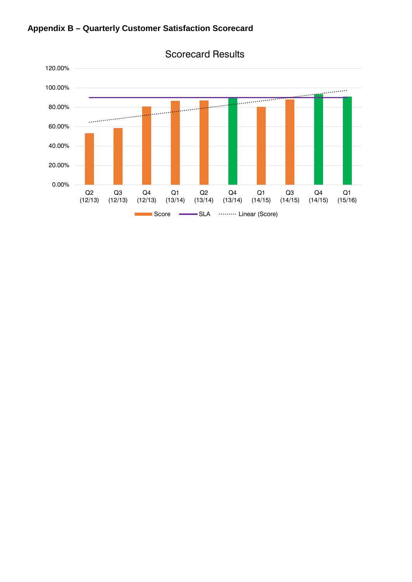



Scorecard Results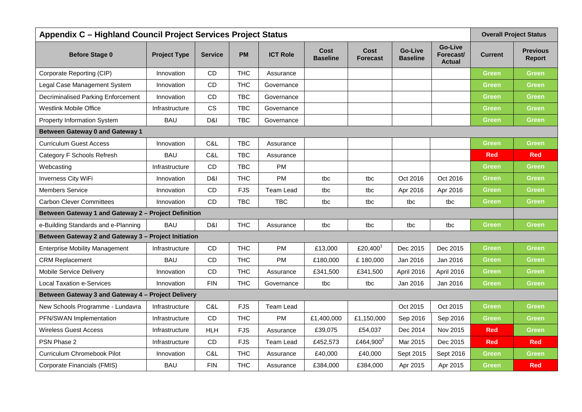| Appendix C - Highland Council Project Services Project Status |                     |                |            |                  |                         |                                |                                   |                                              |                | <b>Overall Project Status</b> |
|---------------------------------------------------------------|---------------------|----------------|------------|------------------|-------------------------|--------------------------------|-----------------------------------|----------------------------------------------|----------------|-------------------------------|
| <b>Before Stage 0</b>                                         | <b>Project Type</b> | <b>Service</b> | <b>PM</b>  | <b>ICT Role</b>  | Cost<br><b>Baseline</b> | <b>Cost</b><br><b>Forecast</b> | <b>Go-Live</b><br><b>Baseline</b> | <b>Go-Live</b><br>Forecast/<br><b>Actual</b> | <b>Current</b> | <b>Previous</b><br>Report     |
| Corporate Reporting (CIP)                                     | Innovation          | <b>CD</b>      | <b>THC</b> | Assurance        |                         |                                |                                   |                                              | <b>Green</b>   | Green                         |
| Legal Case Management System                                  | Innovation          | CD             | <b>THC</b> | Governance       |                         |                                |                                   |                                              | <b>Green</b>   | <b>Green</b>                  |
| Decriminalised Parking Enforcement                            | Innovation          | CD             | <b>TBC</b> | Governance       |                         |                                |                                   |                                              | Green          | Green                         |
| <b>Westlink Mobile Office</b>                                 | Infrastructure      | <b>CS</b>      | <b>TBC</b> | Governance       |                         |                                |                                   |                                              | <b>Green</b>   | <b>Green</b>                  |
| <b>Property Information System</b>                            | <b>BAU</b>          | D&I            | <b>TBC</b> | Governance       |                         |                                |                                   |                                              | <b>Green</b>   | Green                         |
| <b>Between Gateway 0 and Gateway 1</b>                        |                     |                |            |                  |                         |                                |                                   |                                              |                |                               |
| Curriculum Guest Access                                       | Innovation          | C&L            | <b>TBC</b> | Assurance        |                         |                                |                                   |                                              | <b>Green</b>   | Green                         |
| Category F Schools Refresh                                    | <b>BAU</b>          | C&L            | <b>TBC</b> | Assurance        |                         |                                |                                   |                                              | <b>Red</b>     | <b>Red</b>                    |
| Webcasting                                                    | Infrastructure      | <b>CD</b>      | <b>TBC</b> | <b>PM</b>        |                         |                                |                                   |                                              | <b>Green</b>   | Green                         |
| Inverness City WiFi                                           | Innovation          | D&I            | <b>THC</b> | <b>PM</b>        | tbc                     | tbc                            | Oct 2016                          | Oct 2016                                     | <b>Green</b>   | <b>Green</b>                  |
| <b>Members Service</b>                                        | Innovation          | CD             | <b>FJS</b> | <b>Team Lead</b> | tbc                     | tbc                            | Apr 2016                          | Apr 2016                                     | Green          | Green                         |
| <b>Carbon Clever Committees</b>                               | Innovation          | CD             | <b>TBC</b> | <b>TBC</b>       | tbc                     | tbc                            | tbc                               | tbc                                          | <b>Green</b>   | Green                         |
| Between Gateway 1 and Gateway 2 - Project Definition          |                     |                |            |                  |                         |                                |                                   |                                              |                |                               |
| e-Building Standards and e-Planning                           | <b>BAU</b>          | D&I            | <b>THC</b> | Assurance        | tbc                     | tbc                            | tbc                               | tbc                                          | <b>Green</b>   | Green                         |
| Between Gateway 2 and Gateway 3 - Project Initiation          |                     |                |            |                  |                         |                                |                                   |                                              |                |                               |
| <b>Enterprise Mobility Management</b>                         | Infrastructure      | CD             | <b>THC</b> | <b>PM</b>        | £13,000                 | £20,400                        | Dec 2015                          | Dec 2015                                     | <b>Green</b>   | Green                         |
| <b>CRM Replacement</b>                                        | <b>BAU</b>          | CD             | <b>THC</b> | PM               | £180,000                | £180,000                       | Jan 2016                          | Jan 2016                                     | <b>Green</b>   | <b>Green</b>                  |
| <b>Mobile Service Delivery</b>                                | Innovation          | CD             | <b>THC</b> | Assurance        | £341,500                | £341,500                       | April 2016                        | April 2016                                   | <b>Green</b>   | Green                         |
| <b>Local Taxation e-Services</b>                              | Innovation          | <b>FIN</b>     | <b>THC</b> | Governance       | tbc                     | tbc                            | Jan 2016                          | Jan 2016                                     | <b>Green</b>   | <b>Green</b>                  |
| Between Gateway 3 and Gateway 4 - Project Delivery            |                     |                |            |                  |                         |                                |                                   |                                              |                |                               |
| New Schools Programme - Lundavra                              | Infrastructure      | C&L            | <b>FJS</b> | Team Lead        |                         |                                | Oct 2015                          | Oct 2015                                     | <b>Green</b>   | <b>Green</b>                  |
| PFN/SWAN Implementation                                       | Infrastructure      | CD             | <b>THC</b> | <b>PM</b>        | £1,400,000              | £1,150,000                     | Sep 2016                          | Sep 2016                                     | <b>Green</b>   | Green                         |
| <b>Wireless Guest Access</b>                                  | Infrastructure      | <b>HLH</b>     | <b>FJS</b> | Assurance        | £39,075                 | £54,037                        | Dec 2014                          | Nov 2015                                     | <b>Red</b>     | <b>Green</b>                  |
| PSN Phase 2                                                   | Infrastructure      | CD             | <b>FJS</b> | Team Lead        | £452,573                | £464,900 <sup>2</sup>          | Mar 2015                          | Dec 2015                                     | <b>Red</b>     | <b>Red</b>                    |
| Curriculum Chromebook Pilot                                   | Innovation          | C&L            | <b>THC</b> | Assurance        | £40,000                 | £40,000                        | Sept 2015                         | Sept 2016                                    | Green          | Green                         |
| Corporate Financials (FMIS)                                   | <b>BAU</b>          | <b>FIN</b>     | <b>THC</b> | Assurance        | £384,000                | £384,000                       | Apr 2015                          | Apr 2015                                     | <b>Green</b>   | <b>Red</b>                    |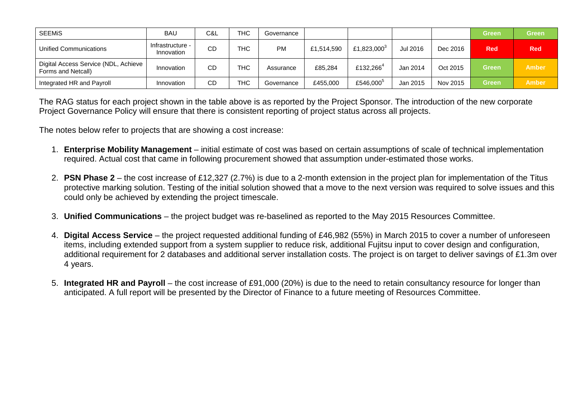| <b>SEEMIS</b>                                                | <b>BAU</b>                     | C&L | <b>THC</b> | Governance |            |                       |          |          | <b>Green</b> | <b>Green</b> |
|--------------------------------------------------------------|--------------------------------|-----|------------|------------|------------|-----------------------|----------|----------|--------------|--------------|
| Unified Communications                                       | Infrastructure -<br>Innovation | CD  | THC        | <b>PM</b>  | £1,514,590 | £1,823,000 $^3$       | Jul 2016 | Dec 2016 | <b>Red</b>   | <b>Red</b>   |
| Digital Access Service (NDL, Achieve )<br>Forms and Netcall) | Innovation                     | CD  | <b>THC</b> | Assurance  | £85.284    | £132,266 <sup>4</sup> | Jan 2014 | Oct 2015 | <b>Green</b> | <b>Amber</b> |
| Integrated HR and Payroll                                    | Innovation                     | CD  | <b>THC</b> | Governance | £455,000   | £546,000 <sup>5</sup> | Jan 2015 | Nov 2015 | <b>Green</b> | <b>Amber</b> |

The RAG status for each project shown in the table above is as reported by the Project Sponsor. The introduction of the new corporate Project Governance Policy will ensure that there is consistent reporting of project status across all projects.

The notes below refer to projects that are showing a cost increase:

- 1. **Enterprise Mobility Management** initial estimate of cost was based on certain assumptions of scale of technical implementation required. Actual cost that came in following procurement showed that assumption under-estimated those works.
- 2. **PSN Phase 2** the cost increase of £12,327 (2.7%) is due to a 2-month extension in the project plan for implementation of the Titus protective marking solution. Testing of the initial solution showed that a move to the next version was required to solve issues and this could only be achieved by extending the project timescale.
- 3. **Unified Communications** the project budget was re-baselined as reported to the May 2015 Resources Committee.
- 4. **Digital Access Service** the project requested additional funding of £46,982 (55%) in March 2015 to cover a number of unforeseen items, including extended support from a system supplier to reduce risk, additional Fujitsu input to cover design and configuration, additional requirement for 2 databases and additional server installation costs. The project is on target to deliver savings of £1.3m over 4 years.
- 5. **Integrated HR and Payroll** the cost increase of £91,000 (20%) is due to the need to retain consultancy resource for longer than anticipated. A full report will be presented by the Director of Finance to a future meeting of Resources Committee.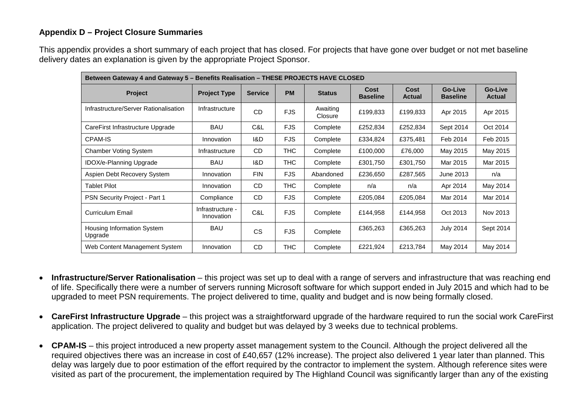## **Appendix D – Project Closure Summaries**

This appendix provides a short summary of each project that has closed. For projects that have gone over budget or not met baseline delivery dates an explanation is given by the appropriate Project Sponsor.

| Between Gateway 4 and Gateway 5 – Benefits Realisation – THESE PROJECTS HAVE CLOSED |                                |                |            |                     |                         |                       |                                   |                          |  |  |
|-------------------------------------------------------------------------------------|--------------------------------|----------------|------------|---------------------|-------------------------|-----------------------|-----------------------------------|--------------------------|--|--|
| <b>Project</b>                                                                      | <b>Project Type</b>            | <b>Service</b> | <b>PM</b>  | <b>Status</b>       | Cost<br><b>Baseline</b> | Cost<br><b>Actual</b> | <b>Go-Live</b><br><b>Baseline</b> | Go-Live<br><b>Actual</b> |  |  |
| Infrastructure/Server Rationalisation                                               | Infrastructure                 | CD             | <b>FJS</b> | Awaiting<br>Closure | £199,833                | £199,833              | Apr 2015                          | Apr 2015                 |  |  |
| CareFirst Infrastructure Upgrade                                                    | BAU                            | C&L            | <b>FJS</b> | Complete            | £252,834                | £252,834              | Sept 2014                         | Oct 2014                 |  |  |
| CPAM-IS                                                                             | Innovation                     | 1&D            | <b>FJS</b> | Complete            | £334,824                | £375,481              | Feb 2014                          | Feb 2015                 |  |  |
| <b>Chamber Voting System</b>                                                        | Infrastructure                 | <b>CD</b>      | <b>THC</b> | Complete            | £100,000                | £76,000               | May 2015                          | May 2015                 |  |  |
| IDOX/e-Planning Upgrade                                                             | BAU                            | 1&D            | <b>THC</b> | Complete            | £301,750                | £301,750              | Mar 2015                          | Mar 2015                 |  |  |
| Aspien Debt Recovery System                                                         | Innovation                     | <b>FIN</b>     | <b>FJS</b> | Abandoned           | £236,650                | £287,565              | June 2013                         | n/a                      |  |  |
| <b>Tablet Pilot</b>                                                                 | Innovation                     | <b>CD</b>      | <b>THC</b> | Complete            | n/a                     | n/a                   | Apr 2014                          | May 2014                 |  |  |
| PSN Security Project - Part 1                                                       | Compliance                     | <b>CD</b>      | <b>FJS</b> | Complete            | £205,084                | £205,084              | Mar 2014                          | Mar 2014                 |  |  |
| <b>Curriculum Email</b>                                                             | Infrastructure -<br>Innovation | C&L            | <b>FJS</b> | Complete            | £144,958                | £144,958              | Oct 2013                          | Nov 2013                 |  |  |
| <b>Housing Information System</b><br>Upgrade                                        | <b>BAU</b>                     | CS             | <b>FJS</b> | Complete            | £365,263                | £365,263              | <b>July 2014</b>                  | Sept 2014                |  |  |
| Web Content Management System                                                       | Innovation                     | <b>CD</b>      | <b>THC</b> | Complete            | £221,924                | £213,784              | May 2014                          | May 2014                 |  |  |

- **Infrastructure/Server Rationalisation** this project was set up to deal with a range of servers and infrastructure that was reaching end of life. Specifically there were a number of servers running Microsoft software for which support ended in July 2015 and which had to be upgraded to meet PSN requirements. The project delivered to time, quality and budget and is now being formally closed.
- **CareFirst Infrastructure Upgrade** this project was a straightforward upgrade of the hardware required to run the social work CareFirst application. The project delivered to quality and budget but was delayed by 3 weeks due to technical problems.
- **CPAM-IS** this project introduced a new property asset management system to the Council. Although the project delivered all the required objectives there was an increase in cost of £40,657 (12% increase). The project also delivered 1 year later than planned. This delay was largely due to poor estimation of the effort required by the contractor to implement the system. Although reference sites were visited as part of the procurement, the implementation required by The Highland Council was significantly larger than any of the existing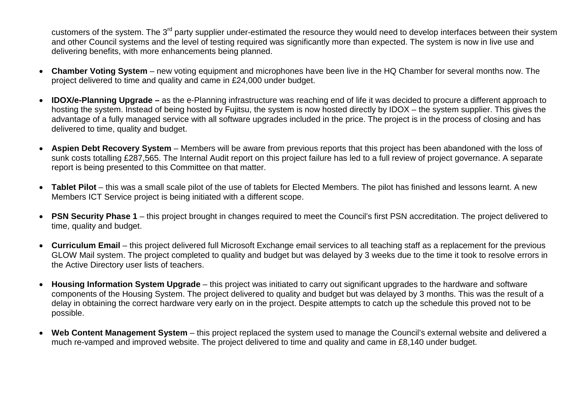customers of the system. The 3<sup>rd</sup> party supplier under-estimated the resource they would need to develop interfaces between their system and other Council systems and the level of testing required was significantly more than expected. The system is now in live use and delivering benefits, with more enhancements being planned.

- **Chamber Voting System** new voting equipment and microphones have been live in the HQ Chamber for several months now. The project delivered to time and quality and came in £24,000 under budget.
- **IDOX/e-Planning Upgrade –** as the e-Planning infrastructure was reaching end of life it was decided to procure a different approach to hosting the system. Instead of being hosted by Fujitsu, the system is now hosted directly by IDOX – the system supplier. This gives the advantage of a fully managed service with all software upgrades included in the price. The project is in the process of closing and has delivered to time, quality and budget.
- **Aspien Debt Recovery System** Members will be aware from previous reports that this project has been abandoned with the loss of sunk costs totalling £287,565. The Internal Audit report on this project failure has led to a full review of project governance. A separate report is being presented to this Committee on that matter.
- **Tablet Pilot** this was a small scale pilot of the use of tablets for Elected Members. The pilot has finished and lessons learnt. A new Members ICT Service project is being initiated with a different scope.
- **PSN Security Phase 1** this project brought in changes required to meet the Council's first PSN accreditation. The project delivered to time, quality and budget.
- **Curriculum Email** this project delivered full Microsoft Exchange email services to all teaching staff as a replacement for the previous GLOW Mail system. The project completed to quality and budget but was delayed by 3 weeks due to the time it took to resolve errors in the Active Directory user lists of teachers.
- **Housing Information System Upgrade** this project was initiated to carry out significant upgrades to the hardware and software components of the Housing System. The project delivered to quality and budget but was delayed by 3 months. This was the result of a delay in obtaining the correct hardware very early on in the project. Despite attempts to catch up the schedule this proved not to be possible.
- **Web Content Management System** this project replaced the system used to manage the Council's external website and delivered a much re-vamped and improved website. The project delivered to time and quality and came in £8,140 under budget.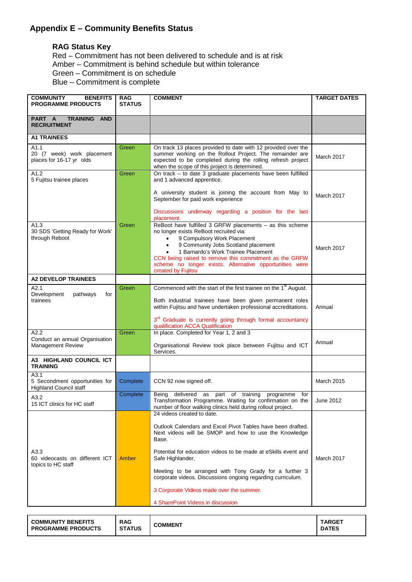# **Appendix E – Community Benefits Status**

#### **RAG Status Key**

Red – Commitment has not been delivered to schedule and is at risk Amber – Commitment is behind schedule but within tolerance Green – Commitment is on schedule Blue – Commitment is complete

| <b>COMMUNITY</b><br><b>BENEFITS</b><br><b>PROGRAMME PRODUCTS</b>        | <b>RAG</b><br><b>STATUS</b> | <b>COMMENT</b>                                                                                                                                                                                                                                                                                                                                                                                                         | <b>TARGET DATES</b> |
|-------------------------------------------------------------------------|-----------------------------|------------------------------------------------------------------------------------------------------------------------------------------------------------------------------------------------------------------------------------------------------------------------------------------------------------------------------------------------------------------------------------------------------------------------|---------------------|
| PART A<br><b>TRAINING AND</b><br><b>RECRUITMENT</b>                     |                             |                                                                                                                                                                                                                                                                                                                                                                                                                        |                     |
| <b>A1 TRAINEES</b>                                                      |                             |                                                                                                                                                                                                                                                                                                                                                                                                                        |                     |
| A1.1<br>20 (7 week) work placement<br>places for 16-17 yr olds          | Green                       | On track 13 places provided to date with 12 provided over the<br>summer working on the Rollout Project. The remainder are<br>expected to be completed during the rolling refresh project<br>when the scope of this project is determined.                                                                                                                                                                              | March 2017          |
| A1.2<br>5 Fujitsu trainee places                                        | Green                       | On track - to date 3 graduate placements have been fulfilled<br>and 1 advanced apprentice.                                                                                                                                                                                                                                                                                                                             |                     |
|                                                                         |                             | A university student is joining the account from May to<br>September for paid work experience                                                                                                                                                                                                                                                                                                                          | March 2017          |
|                                                                         |                             | Discussions underway regarding a position for the last<br>placement.                                                                                                                                                                                                                                                                                                                                                   |                     |
| A1.3<br>30 SDS 'Getting Ready for Work'<br>through Reboot               | Green                       | ReBoot have fulfilled 3 GRFW placements - as this scheme<br>no longer exists ReBoot recruited via:<br>9 Compulsory Work Placement<br>9 Community Jobs Scotland placement<br>1 Barnardo's Work Trainee Placement<br>CCN being raised to remove this commitment as the GRFW<br>scheme no longer exists. Alternative opportunities were<br>created by Fujitsu                                                             | <b>March 2017</b>   |
| <b>A2 DEVELOP TRAINEES</b>                                              |                             |                                                                                                                                                                                                                                                                                                                                                                                                                        |                     |
| A2.1<br>Development<br>pathways<br>for<br>trainees                      | Green                       | Commenced with the start of the first trainee on the 1 <sup>st</sup> August.<br>Both industrial trainees have been given permanent roles<br>within Fujitsu and have undertaken professional accreditations.<br>3 <sup>rd</sup> Graduate is currently going through formal accountancy<br>qualification ACCA Qualification                                                                                              | Annual              |
| A2.2<br>Conduct an annual Organisation<br>Management Review             | Green                       | In place. Completed for Year 1, 2 and 3<br>Organisational Review took place between Fujitsu and ICT<br>Services.                                                                                                                                                                                                                                                                                                       | Annual              |
| A3 HIGHLAND COUNCIL ICT<br><b>TRAINING</b>                              |                             |                                                                                                                                                                                                                                                                                                                                                                                                                        |                     |
| A3.1<br>5 Secondment opportunities for<br><b>Highland Council staff</b> | Complete                    | CCN 92 now signed off.                                                                                                                                                                                                                                                                                                                                                                                                 | March 2015          |
| A3.2<br>15 ICT clinics for HC staff                                     | Complete                    | Being<br>delivered as part of training<br>programme for<br>Transformation Programme. Waiting for confirmation on the<br>number of floor walking clinics held during rollout project.                                                                                                                                                                                                                                   | June 2012           |
| A3.3<br>60 videocasts on different ICT<br>topics to HC staff            | <b>Amber</b>                | 24 videos created to date.<br>Outlook Calendars and Excel Pivot Tables have been drafted.<br>Next videos will be SMOP and how to use the Knowledge<br>Base.<br>Potential for education videos to be made at eSkills event and<br>Safe Highlander.<br>Meeting to be arranged with Tony Grady for a further 3<br>corporate videos. Discussions ongoing regarding curriculum.<br>3 Corporate Videos made over the summer. | March 2017          |
|                                                                         |                             | 4 SharePoint Videos in discussion                                                                                                                                                                                                                                                                                                                                                                                      |                     |

| <b>COMMUNITY BENEFITS</b> | <b>RAG</b>    | COMMENT | <b>TARGET</b> |
|---------------------------|---------------|---------|---------------|
| <b>PROGRAMME PRODUCTS</b> | <b>STATUS</b> |         | <b>DATES</b>  |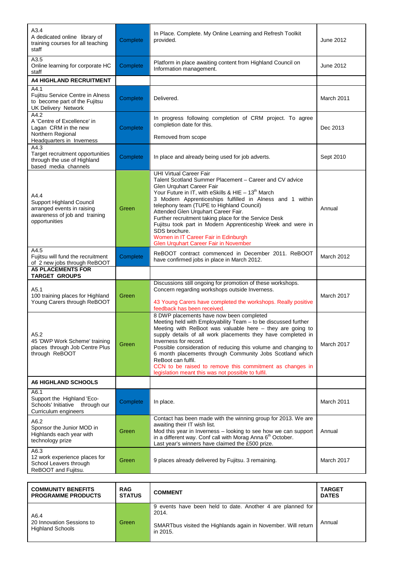| A3.4<br>A dedicated online library of<br>training courses for all teaching<br>staff                                     | Complete | In Place. Complete. My Online Learning and Refresh Toolkit<br>provided.                                                                                                                                                                                                                                                                                                                                                                                                                                                                                             | June 2012         |
|-------------------------------------------------------------------------------------------------------------------------|----------|---------------------------------------------------------------------------------------------------------------------------------------------------------------------------------------------------------------------------------------------------------------------------------------------------------------------------------------------------------------------------------------------------------------------------------------------------------------------------------------------------------------------------------------------------------------------|-------------------|
| A3.5<br>Online learning for corporate HC<br>staff                                                                       | Complete | Platform in place awaiting content from Highland Council on<br>Information management.                                                                                                                                                                                                                                                                                                                                                                                                                                                                              | June 2012         |
| <b>A4 HIGHLAND RECRUITMENT</b>                                                                                          |          |                                                                                                                                                                                                                                                                                                                                                                                                                                                                                                                                                                     |                   |
| A4.1<br>Fujitsu Service Centre in Alness<br>to become part of the Fujitsu<br><b>UK Delivery Network</b>                 | Complete | Delivered.                                                                                                                                                                                                                                                                                                                                                                                                                                                                                                                                                          | March 2011        |
| A4.2<br>A 'Centre of Excellence' in<br>Lagan CRM in the new<br>Northern Regional<br>Headquarters in Inverness           | Complete | In progress following completion of CRM project. To agree<br>completion date for this.<br>Removed from scope                                                                                                                                                                                                                                                                                                                                                                                                                                                        | Dec 2013          |
| A4.3<br>Target recruitment opportunities<br>through the use of Highland<br>based media channels                         | Complete | In place and already being used for job adverts.                                                                                                                                                                                                                                                                                                                                                                                                                                                                                                                    | Sept 2010         |
| A4.4<br><b>Support Highland Council</b><br>arranged events in raising<br>awareness of job and training<br>opportunities | Green    | <b>UHI Virtual Career Fair</b><br>Talent Scotland Summer Placement - Career and CV advice<br>Glen Urquhart Career Fair<br>Your Future in IT, with eSkills & HIE - 13 <sup>th</sup> March<br>3 Modern Apprenticeships fulfilled in Alness and 1 within<br>telephony team (TUPE to Highland Council)<br>Attended Glen Urquhart Career Fair.<br>Further recruitment taking place for the Service Desk<br>Fujitsu took part in Modern Apprenticeship Week and were in<br>SDS brochure.<br>Women in IT Career Fair in Edinburgh<br>Glen Urquhart Career Fair in November | Annual            |
| A4.5<br>Fujitsu will fund the recruitment<br>of 2 new jobs through ReBOOT                                               | Complete | ReBOOT contract commenced in December 2011. ReBOOT<br>have confirmed jobs in place in March 2012.                                                                                                                                                                                                                                                                                                                                                                                                                                                                   | <b>March 2012</b> |
| <b>A5 PLACEMENTS FOR</b><br><b>TARGET GROUPS</b>                                                                        |          |                                                                                                                                                                                                                                                                                                                                                                                                                                                                                                                                                                     |                   |
| A5.1<br>100 training places for Highland<br>Young Carers through ReBOOT                                                 | Green    | Discussions still ongoing for promotion of these workshops.<br>Concern regarding workshops outside Inverness.<br>43 Young Carers have completed the workshops. Really positive<br>feedback has been received.                                                                                                                                                                                                                                                                                                                                                       | March 2017        |
| A5.2<br>45 'DWP Work Scheme' training<br>places through Job Centre Plus<br>through ReBOOT                               | Green    | 8 DWP placements have now been completed<br>Meeting held with Employability Team - to be discussed further<br>Meeting with ReBoot was valuable here $-$ they are going to<br>supply details of all work placements they have completed in<br>Inverness for record.<br>Possible consideration of reducing this volume and changing to<br>6 month placements through Community Jobs Scotland which<br>ReBoot can fulfil.<br>CCN to be raised to remove this commitment as changes in<br>legislation meant this was not possible to fulfil.                            | March 2017        |
| A6 HIGHLAND SCHOOLS                                                                                                     |          |                                                                                                                                                                                                                                                                                                                                                                                                                                                                                                                                                                     |                   |
| A6.1<br>Support the Highland 'Eco-<br>Schools' Initiative through our<br>Curriculum engineers                           | Complete | In place.                                                                                                                                                                                                                                                                                                                                                                                                                                                                                                                                                           | March 2011        |
| A6.2<br>Sponsor the Junior MOD in<br>Highlands each year with<br>technology prize                                       | Green    | Contact has been made with the winning group for 2013. We are<br>awaiting their IT wish list.<br>Mod this year in Inverness - looking to see how we can support<br>in a different way. Conf call with Morag Anna 6 <sup>th</sup> October.<br>Last year's winners have claimed the £500 prize.                                                                                                                                                                                                                                                                       | Annual            |
| A6.3<br>12 work experience places for<br>School Leavers through<br>ReBOOT and Fujitsu.                                  | Green    | 9 places already delivered by Fujitsu. 3 remaining.                                                                                                                                                                                                                                                                                                                                                                                                                                                                                                                 | March 2017        |

| <b>COMMUNITY BENEFITS</b>                                    | <b>RAG</b>    | <b>COMMENT</b>                                                                                                                                   | <b>TARGET</b> |
|--------------------------------------------------------------|---------------|--------------------------------------------------------------------------------------------------------------------------------------------------|---------------|
| <b>PROGRAMME PRODUCTS</b>                                    | <b>STATUS</b> |                                                                                                                                                  | <b>DATES</b>  |
| A6.4<br>20 Innovation Sessions to<br><b>Highland Schools</b> | Green         | 9 events have been held to date. Another 4 are planned for<br>2014.<br>SMARTbus visited the Highlands again in November. Will return<br>in 2015. | Annual        |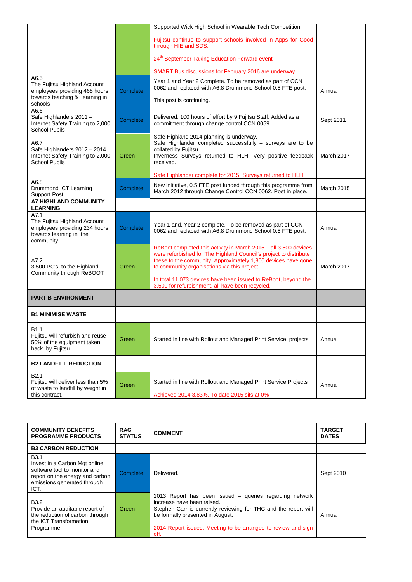|                                                                                                                    |          | Supported Wick High School in Wearable Tech Competition.                                                                                                                                                                                                                                                                                                                     |            |
|--------------------------------------------------------------------------------------------------------------------|----------|------------------------------------------------------------------------------------------------------------------------------------------------------------------------------------------------------------------------------------------------------------------------------------------------------------------------------------------------------------------------------|------------|
|                                                                                                                    |          | Fujitsu continue to support schools involved in Apps for Good<br>through HIE and SDS.                                                                                                                                                                                                                                                                                        |            |
|                                                                                                                    |          | 24 <sup>th</sup> September Taking Education Forward event                                                                                                                                                                                                                                                                                                                    |            |
|                                                                                                                    |          | SMART Bus discussions for February 2016 are underway.                                                                                                                                                                                                                                                                                                                        |            |
| A6.5<br>The Fujitsu Highland Account<br>employees providing 468 hours<br>towards teaching & learning in<br>schools | Complete | Year 1 and Year 2 Complete. To be removed as part of CCN<br>0062 and replaced with A6.8 Drummond School 0.5 FTE post.<br>This post is continuing.                                                                                                                                                                                                                            | Annual     |
| A6.6<br>Safe Highlanders 2011 -<br>Internet Safety Training to 2,000<br><b>School Pupils</b>                       | Complete | Delivered. 100 hours of effort by 9 Fujitsu Staff. Added as a<br>commitment through change control CCN 0059.                                                                                                                                                                                                                                                                 | Sept 2011  |
| A6.7<br>Safe Highlanders 2012 - 2014<br>Internet Safety Training to 2,000<br><b>School Pupils</b>                  | Green    | Safe Highland 2014 planning is underway.<br>Safe Highlander completed successfully - surveys are to be<br>collated by Fujitsu.<br>Inverness Surveys returned to HLH. Very positive feedback<br>received.<br>Safe Highlander complete for 2015. Surveys returned to HLH.                                                                                                      | March 2017 |
| A6.8                                                                                                               |          | New initiative, 0.5 FTE post funded through this programme from                                                                                                                                                                                                                                                                                                              |            |
| Drummond ICT Learning<br><b>Support Post</b>                                                                       | Complete | March 2012 through Change Control CCN 0062. Post in place.                                                                                                                                                                                                                                                                                                                   | March 2015 |
| <b>A7 HIGHLAND COMMUNITY</b><br><b>LEARNING</b>                                                                    |          |                                                                                                                                                                                                                                                                                                                                                                              |            |
| A7.1<br>The Fujitsu Highland Account<br>employees providing 234 hours<br>towards learning in the<br>community      | Complete | Year 1 and. Year 2 complete. To be removed as part of CCN<br>0062 and replaced with A6.8 Drummond School 0.5 FTE post.                                                                                                                                                                                                                                                       | Annual     |
| A7.2<br>3,500 PC's to the Highland<br>Community through ReBOOT                                                     | Green    | ReBoot completed this activity in March 2015 - all 3,500 devices<br>were refurbished for The Highland Council's project to distribute<br>these to the community. Approximately 1,800 devices have gone<br>to community organisations via this project.<br>In total 11,073 devices have been issued to ReBoot, beyond the<br>3,500 for refurbishment, all have been recycled. | March 2017 |
| <b>PART B ENVIRONMENT</b>                                                                                          |          |                                                                                                                                                                                                                                                                                                                                                                              |            |
| <b>B1 MINIMISE WASTE</b>                                                                                           |          |                                                                                                                                                                                                                                                                                                                                                                              |            |
| B1.1<br>Fujitsu will refurbish and reuse<br>50% of the equipment taken<br>back by Fujitsu                          | Green    | Started in line with Rollout and Managed Print Service projects                                                                                                                                                                                                                                                                                                              | Annual     |
| <b>B2 LANDFILL REDUCTION</b>                                                                                       |          |                                                                                                                                                                                                                                                                                                                                                                              |            |
| B <sub>2.1</sub><br>Fujitsu will deliver less than 5%<br>of waste to landfill by weight in<br>this contract.       | Green    | Started in line with Rollout and Managed Print Service Projects<br>Achieved 2014 3.83%. To date 2015 sits at 0%                                                                                                                                                                                                                                                              | Annual     |
|                                                                                                                    |          |                                                                                                                                                                                                                                                                                                                                                                              |            |

| <b>COMMUNITY BENEFITS</b><br><b>PROGRAMME PRODUCTS</b>                                                                                                 | <b>RAG</b><br><b>STATUS</b> | <b>COMMENT</b>                                                                                                                                                                                                                                                        | <b>TARGET</b><br><b>DATES</b> |
|--------------------------------------------------------------------------------------------------------------------------------------------------------|-----------------------------|-----------------------------------------------------------------------------------------------------------------------------------------------------------------------------------------------------------------------------------------------------------------------|-------------------------------|
| <b>B3 CARBON REDUCTION</b>                                                                                                                             |                             |                                                                                                                                                                                                                                                                       |                               |
| <b>B3.1</b><br>Invest in a Carbon Mgt online<br>software tool to monitor and<br>report on the energy and carbon<br>emissions generated through<br>ICT. | Complete                    | Delivered.                                                                                                                                                                                                                                                            | Sept 2010                     |
| B <sub>3.2</sub><br>Provide an auditable report of<br>the reduction of carbon through<br>the ICT Transformation<br>Programme.                          | Green                       | 2013 Report has been issued – queries regarding network<br>increase have been raised.<br>Stephen Carr is currently reviewing for THC and the report will<br>be formally presented in August.<br>2014 Report issued. Meeting to be arranged to review and sign<br>off. | Annual                        |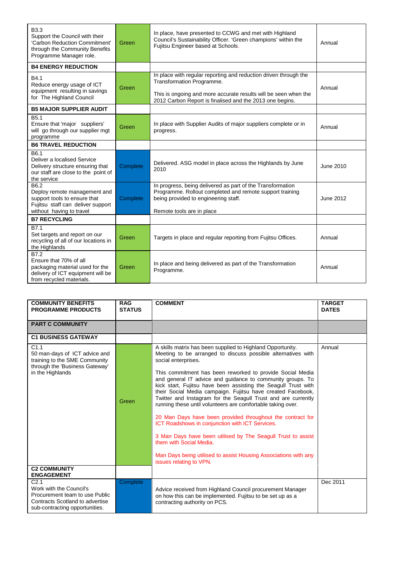| <b>B3.3</b><br>Support the Council with their<br>'Carbon Reduction Commitment'<br>through the Community Benefits<br>Programme Manager role. | Green    | In place, have presented to CCWG and met with Highland<br>Council's Sustainability Officer. 'Green champions' within the<br>Fujitsu Engineer based at Schools.                                                               | Annual           |
|---------------------------------------------------------------------------------------------------------------------------------------------|----------|------------------------------------------------------------------------------------------------------------------------------------------------------------------------------------------------------------------------------|------------------|
| <b>B4 ENERGY REDUCTION</b>                                                                                                                  |          |                                                                                                                                                                                                                              |                  |
| B4.1<br>Reduce energy usage of ICT<br>equipment resulting in savings<br>for The Highland Council                                            | Green    | In place with regular reporting and reduction driven through the<br>Transformation Programme.<br>This is ongoing and more accurate results will be seen when the<br>2012 Carbon Report is finalised and the 2013 one begins. | Annual           |
| <b>B5 MAJOR SUPPLIER AUDIT</b>                                                                                                              |          |                                                                                                                                                                                                                              |                  |
| B <sub>5.1</sub><br>Ensure that 'major suppliers'<br>will go through our supplier mgt<br>programme                                          | Green    | In place with Supplier Audits of major suppliers complete or in<br>progress.                                                                                                                                                 | Annual           |
| <b>B6 TRAVEL REDUCTION</b>                                                                                                                  |          |                                                                                                                                                                                                                              |                  |
| B6.1<br>Deliver a localised Service<br>Delivery structure ensuring that<br>our staff are close to the point of<br>the service               | Complete | Delivered. ASG model in place across the Highlands by June<br>2010                                                                                                                                                           | June 2010        |
| B6.2<br>Deploy remote management and<br>support tools to ensure that<br>Fujitsu staff can deliver support<br>without having to travel       | Complete | In progress, being delivered as part of the Transformation<br>Programme. Rollout completed and remote support training<br>being provided to engineering staff.<br>Remote tools are in place                                  | <b>June 2012</b> |
| <b>B7 RECYCLING</b>                                                                                                                         |          |                                                                                                                                                                                                                              |                  |
| B7.1<br>Set targets and report on our<br>recycling of all of our locations in<br>the Highlands                                              | Green    | Targets in place and regular reporting from Fujitsu Offices.                                                                                                                                                                 | Annual           |
| B7.2<br>Ensure that 70% of all<br>packaging material used for the<br>delivery of ICT equipment will be<br>from recycled materials.          | Green    | In place and being delivered as part of the Transformation<br>Programme.                                                                                                                                                     | Annual           |

| <b>COMMUNITY BENEFITS</b>                                                                                                                          | <b>RAG</b>    | <b>COMMENT</b>                                                                                                                                                                                                                                                                                                                                                                                                                                                                                                                                                                                                                                                                                                                                                                                                                                          | <b>TARGET</b> |
|----------------------------------------------------------------------------------------------------------------------------------------------------|---------------|---------------------------------------------------------------------------------------------------------------------------------------------------------------------------------------------------------------------------------------------------------------------------------------------------------------------------------------------------------------------------------------------------------------------------------------------------------------------------------------------------------------------------------------------------------------------------------------------------------------------------------------------------------------------------------------------------------------------------------------------------------------------------------------------------------------------------------------------------------|---------------|
| <b>PROGRAMME PRODUCTS</b>                                                                                                                          | <b>STATUS</b> |                                                                                                                                                                                                                                                                                                                                                                                                                                                                                                                                                                                                                                                                                                                                                                                                                                                         | <b>DATES</b>  |
| <b>PART C COMMUNITY</b>                                                                                                                            |               |                                                                                                                                                                                                                                                                                                                                                                                                                                                                                                                                                                                                                                                                                                                                                                                                                                                         |               |
| <b>C1 BUSINESS GATEWAY</b>                                                                                                                         |               |                                                                                                                                                                                                                                                                                                                                                                                                                                                                                                                                                                                                                                                                                                                                                                                                                                                         |               |
| C1.1<br>50 man-days of ICT advice and<br>training to the SME Community<br>through the 'Business Gateway'<br>in the Highlands                       | Green         | A skills matrix has been supplied to Highland Opportunity.<br>Meeting to be arranged to discuss possible alternatives with<br>social enterprises.<br>This commitment has been reworked to provide Social Media<br>and general IT advice and guidance to community groups. To<br>kick start, Fujitsu have been assisting the Seagull Trust with<br>their Social Media campaign. Fujitsu have created Facebook,<br>Twitter and Instagram for the Seagull Trust and are currently<br>running these until volunteers are comfortable taking over.<br>20 Man Days have been provided throughout the contract for<br>ICT Roadshows in conjunction with ICT Services.<br>3 Man Days have been utilised by The Seagull Trust to assist<br>them with Social Media.<br>Man Days being utilised to assist Housing Associations with any<br>issues relating to VPN. | Annual        |
| <b>C2 COMMUNITY</b><br><b>ENGAGEMENT</b>                                                                                                           |               |                                                                                                                                                                                                                                                                                                                                                                                                                                                                                                                                                                                                                                                                                                                                                                                                                                                         |               |
| C <sub>2.1</sub><br>Work with the Council's<br>Procurement team to use Public<br>Contracts Scotland to advertise<br>sub-contracting opportunities. | Complete      | Advice received from Highland Council procurement Manager<br>on how this can be implemented. Fujitsu to be set up as a<br>contracting authority on PCS.                                                                                                                                                                                                                                                                                                                                                                                                                                                                                                                                                                                                                                                                                                 | Dec 2011      |